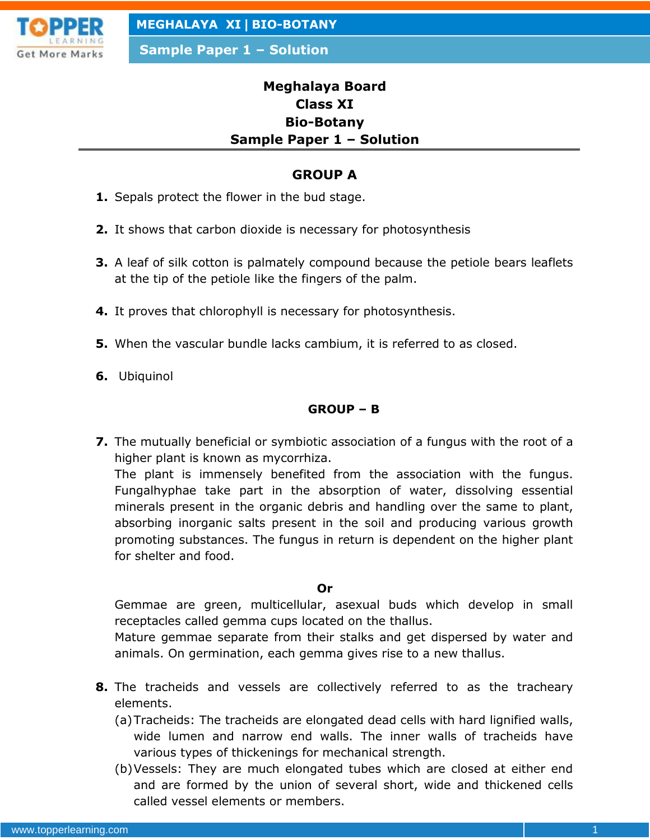

**Sample Paper 1 – Solution**

# **Meghalaya Board Class XI Bio-Botany Sample Paper 1 – Solution**

# **GROUP A**

- **1.** Sepals protect the flower in the bud stage.
- **2.** It shows that carbon dioxide is necessary for photosynthesis
- **3.** A leaf of silk cotton is palmately compound because the petiole bears leaflets at the tip of the petiole like the fingers of the palm.
- **4.** It proves that chlorophyll is necessary for photosynthesis.
- **5.** When the vascular bundle lacks cambium, it is referred to as closed.
- **6.** Ubiquinol

## **GROUP – B**

**7.** The mutually beneficial or symbiotic association of a fungus with the root of a higher plant is known as mycorrhiza.

The plant is immensely benefited from the association with the fungus. Fungalhyphae take part in the absorption of water, dissolving essential minerals present in the organic debris and handling over the same to plant, absorbing inorganic salts present in the soil and producing various growth promoting substances. The fungus in return is dependent on the higher plant for shelter and food.

#### **Or**

Gemmae are green, multicellular, asexual buds which develop in small receptacles called gemma cups located on the thallus.

Mature gemmae separate from their stalks and get dispersed by water and animals. On germination, each gemma gives rise to a new thallus.

- **8.** The tracheids and vessels are collectively referred to as the tracheary elements.
	- (a)Tracheids: The tracheids are elongated dead cells with hard lignified walls, wide lumen and narrow end walls. The inner walls of tracheids have various types of thickenings for mechanical strength.
	- (b)Vessels: They are much elongated tubes which are closed at either end and are formed by the union of several short, wide and thickened cells called vessel elements or members.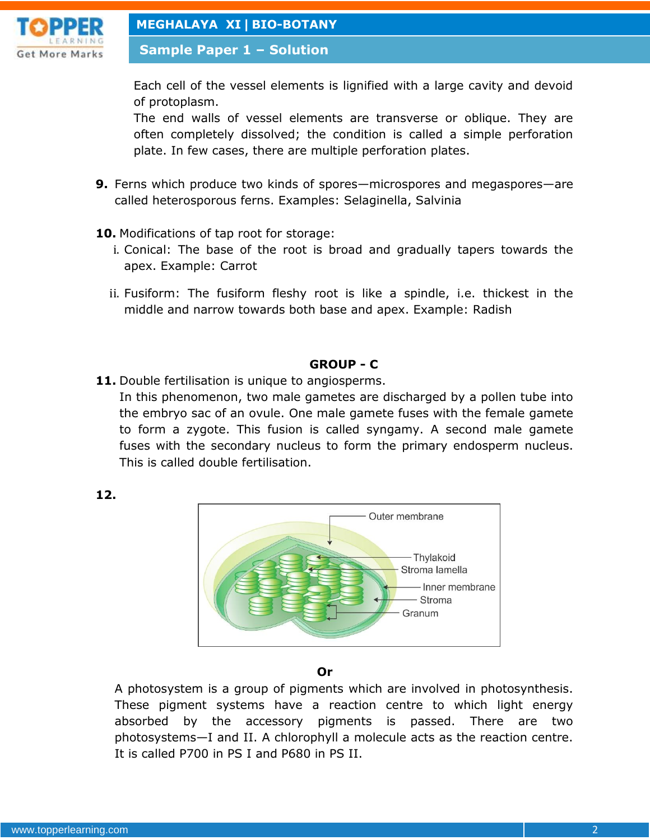

**Sample Paper 1 – Solution**

Each cell of the vessel elements is lignified with a large cavity and devoid of protoplasm.

The end walls of vessel elements are transverse or oblique. They are often completely dissolved; the condition is called a simple perforation plate. In few cases, there are multiple perforation plates.

- **9.** Ferns which produce two kinds of spores—microspores and megaspores—are called heterosporous ferns. Examples: Selaginella, Salvinia
- **10.** Modifications of tap root for storage:
	- i. Conical: The base of the root is broad and gradually tapers towards the apex. Example: Carrot
	- ii. Fusiform: The fusiform fleshy root is like a spindle, i.e. thickest in the middle and narrow towards both base and apex. Example: Radish

## **GROUP - C**

11. Double fertilisation is unique to angiosperms.

In this phenomenon, two male gametes are discharged by a pollen tube into the embryo sac of an ovule. One male gamete fuses with the female gamete to form a zygote. This fusion is called syngamy. A second male gamete fuses with the secondary nucleus to form the primary endosperm nucleus. This is called double fertilisation.





#### **Or**

A photosystem is a group of pigments which are involved in photosynthesis. These pigment systems have a reaction centre to which light energy absorbed by the accessory pigments is passed. There are two photosystems—I and II. A chlorophyll a molecule acts as the reaction centre. It is called P700 in PS I and P680 in PS II.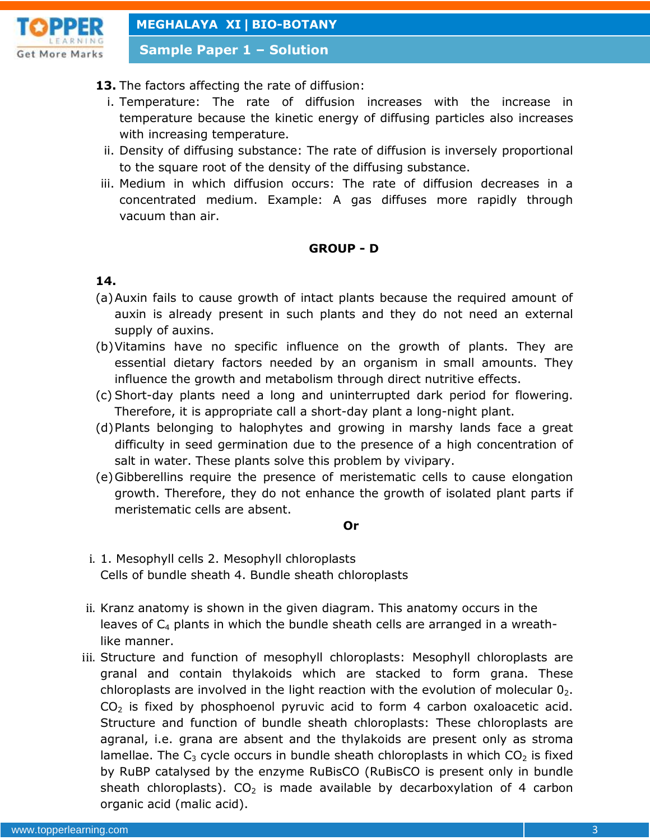

**Sample Paper 1 – Solution**

## **13.** The factors affecting the rate of diffusion:

- i. Temperature: The rate of diffusion increases with the increase in temperature because the kinetic energy of diffusing particles also increases with increasing temperature.
- ii. Density of diffusing substance: The rate of diffusion is inversely proportional to the square root of the density of the diffusing substance.
- iii. Medium in which diffusion occurs: The rate of diffusion decreases in a concentrated medium. Example: A gas diffuses more rapidly through vacuum than air.

#### **GROUP - D**

## **14.**

- (a)Auxin fails to cause growth of intact plants because the required amount of auxin is already present in such plants and they do not need an external supply of auxins.
- (b)Vitamins have no specific influence on the growth of plants. They are essential dietary factors needed by an organism in small amounts. They influence the growth and metabolism through direct nutritive effects.
- (c) Short-day plants need a long and uninterrupted dark period for flowering. Therefore, it is appropriate call a short-day plant a long-night plant.
- (d)Plants belonging to halophytes and growing in marshy lands face a great difficulty in seed germination due to the presence of a high concentration of salt in water. These plants solve this problem by vivipary.
- (e)Gibberellins require the presence of meristematic cells to cause elongation growth. Therefore, they do not enhance the growth of isolated plant parts if meristematic cells are absent.

#### **Or**

- i. 1. Mesophyll cells 2. Mesophyll chloroplasts Cells of bundle sheath 4. Bundle sheath chloroplasts
- ii. Kranz anatomy is shown in the given diagram. This anatomy occurs in the leaves of  $C_4$  plants in which the bundle sheath cells are arranged in a wreathlike manner.
- iii. Structure and function of mesophyll chloroplasts: Mesophyll chloroplasts are granal and contain thylakoids which are stacked to form grana. These chloroplasts are involved in the light reaction with the evolution of molecular  $0<sub>2</sub>$ .  $CO<sub>2</sub>$  is fixed by phosphoenol pyruvic acid to form 4 carbon oxaloacetic acid. Structure and function of bundle sheath chloroplasts: These chloroplasts are agranal, i.e. grana are absent and the thylakoids are present only as stroma lamellae. The  $C_3$  cycle occurs in bundle sheath chloroplasts in which  $CO<sub>2</sub>$  is fixed by RuBP catalysed by the enzyme RuBisCO (RuBisCO is present only in bundle sheath chloroplasts).  $CO<sub>2</sub>$  is made available by decarboxylation of 4 carbon organic acid (malic acid).